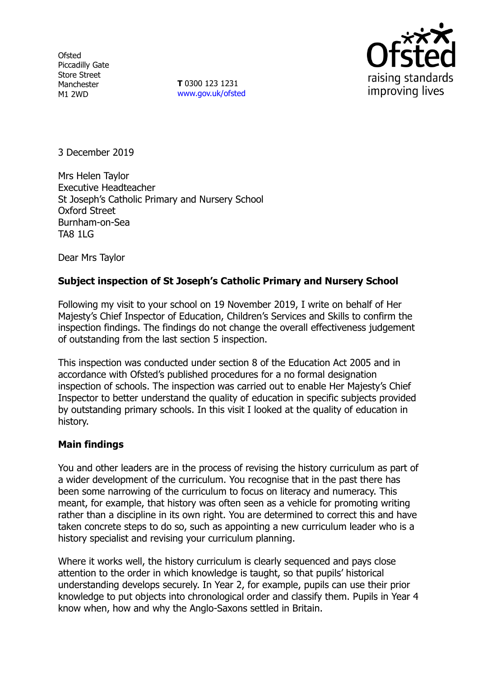**Ofsted** Piccadilly Gate Store Street Manchester M1 2WD

**T** 0300 123 1231 www.gov.uk/ofsted



3 December 2019

Mrs Helen Taylor Executive Headteacher St Joseph's Catholic Primary and Nursery School Oxford Street Burnham-on-Sea TA8 1LG

Dear Mrs Taylor

## **Subject inspection of St Joseph's Catholic Primary and Nursery School**

Following my visit to your school on 19 November 2019, I write on behalf of Her Majesty's Chief Inspector of Education, Children's Services and Skills to confirm the inspection findings. The findings do not change the overall effectiveness judgement of outstanding from the last section 5 inspection.

This inspection was conducted under section 8 of the Education Act 2005 and in accordance with Ofsted's published procedures for a no formal designation inspection of schools. The inspection was carried out to enable Her Majesty's Chief Inspector to better understand the quality of education in specific subjects provided by outstanding primary schools. In this visit I looked at the quality of education in history.

## **Main findings**

You and other leaders are in the process of revising the history curriculum as part of a wider development of the curriculum. You recognise that in the past there has been some narrowing of the curriculum to focus on literacy and numeracy. This meant, for example, that history was often seen as a vehicle for promoting writing rather than a discipline in its own right. You are determined to correct this and have taken concrete steps to do so, such as appointing a new curriculum leader who is a history specialist and revising your curriculum planning.

Where it works well, the history curriculum is clearly sequenced and pays close attention to the order in which knowledge is taught, so that pupils' historical understanding develops securely. In Year 2, for example, pupils can use their prior knowledge to put objects into chronological order and classify them. Pupils in Year 4 know when, how and why the Anglo-Saxons settled in Britain.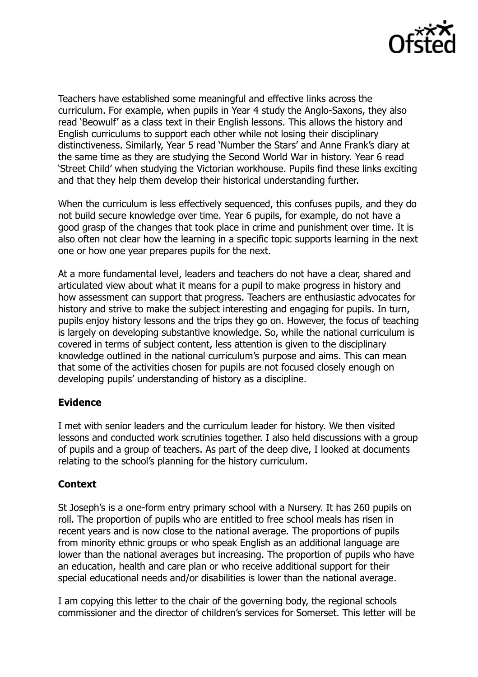

Teachers have established some meaningful and effective links across the curriculum. For example, when pupils in Year 4 study the Anglo-Saxons, they also read 'Beowulf' as a class text in their English lessons. This allows the history and English curriculums to support each other while not losing their disciplinary distinctiveness. Similarly, Year 5 read 'Number the Stars' and Anne Frank's diary at the same time as they are studying the Second World War in history. Year 6 read 'Street Child' when studying the Victorian workhouse. Pupils find these links exciting and that they help them develop their historical understanding further.

When the curriculum is less effectively sequenced, this confuses pupils, and they do not build secure knowledge over time. Year 6 pupils, for example, do not have a good grasp of the changes that took place in crime and punishment over time. It is also often not clear how the learning in a specific topic supports learning in the next one or how one year prepares pupils for the next.

At a more fundamental level, leaders and teachers do not have a clear, shared and articulated view about what it means for a pupil to make progress in history and how assessment can support that progress. Teachers are enthusiastic advocates for history and strive to make the subject interesting and engaging for pupils. In turn, pupils enjoy history lessons and the trips they go on. However, the focus of teaching is largely on developing substantive knowledge. So, while the national curriculum is covered in terms of subject content, less attention is given to the disciplinary knowledge outlined in the national curriculum's purpose and aims. This can mean that some of the activities chosen for pupils are not focused closely enough on developing pupils' understanding of history as a discipline.

## **Evidence**

I met with senior leaders and the curriculum leader for history. We then visited lessons and conducted work scrutinies together. I also held discussions with a group of pupils and a group of teachers. As part of the deep dive, I looked at documents relating to the school's planning for the history curriculum.

## **Context**

St Joseph's is a one-form entry primary school with a Nursery. It has 260 pupils on roll. The proportion of pupils who are entitled to free school meals has risen in recent years and is now close to the national average. The proportions of pupils from minority ethnic groups or who speak English as an additional language are lower than the national averages but increasing. The proportion of pupils who have an education, health and care plan or who receive additional support for their special educational needs and/or disabilities is lower than the national average.

I am copying this letter to the chair of the governing body, the regional schools commissioner and the director of children's services for Somerset. This letter will be